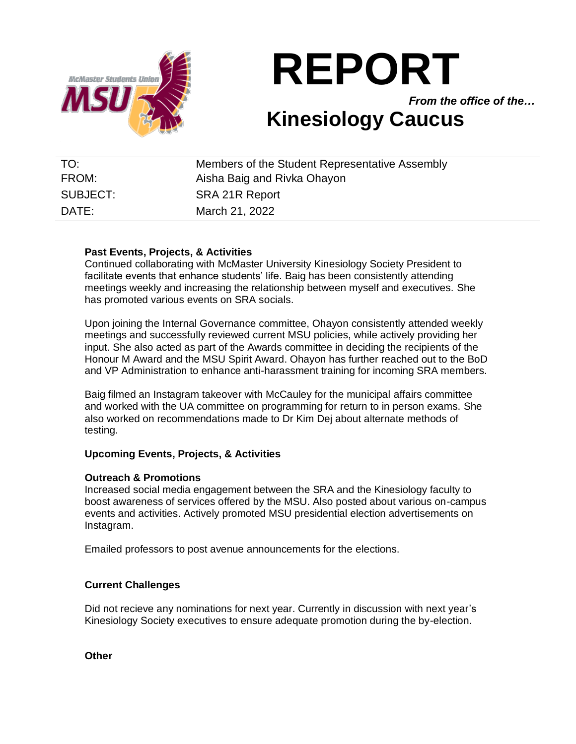

# **REPORT**

*From the office of the…*

## **Kinesiology Caucus**

| TO:      | Members of the Student Representative Assembly |
|----------|------------------------------------------------|
| FROM:    | Aisha Baig and Rivka Ohayon                    |
| SUBJECT: | SRA 21R Report                                 |
| DATE:    | March 21, 2022                                 |

#### **Past Events, Projects, & Activities**

Continued collaborating with McMaster University Kinesiology Society President to facilitate events that enhance students' life. Baig has been consistently attending meetings weekly and increasing the relationship between myself and executives. She has promoted various events on SRA socials.

Upon joining the Internal Governance committee, Ohayon consistently attended weekly meetings and successfully reviewed current MSU policies, while actively providing her input. She also acted as part of the Awards committee in deciding the recipients of the Honour M Award and the MSU Spirit Award. Ohayon has further reached out to the BoD and VP Administration to enhance anti-harassment training for incoming SRA members.

Baig filmed an Instagram takeover with McCauley for the municipal affairs committee and worked with the UA committee on programming for return to in person exams. She also worked on recommendations made to Dr Kim Dej about alternate methods of testing.

#### **Upcoming Events, Projects, & Activities**

### **Outreach & Promotions**

Increased social media engagement between the SRA and the Kinesiology faculty to boost awareness of services offered by the MSU. Also posted about various on-campus events and activities. Actively promoted MSU presidential election advertisements on Instagram.

Emailed professors to post avenue announcements for the elections.

#### **Current Challenges**

Did not recieve any nominations for next year. Currently in discussion with next year's Kinesiology Society executives to ensure adequate promotion during the by-election.

**Other**